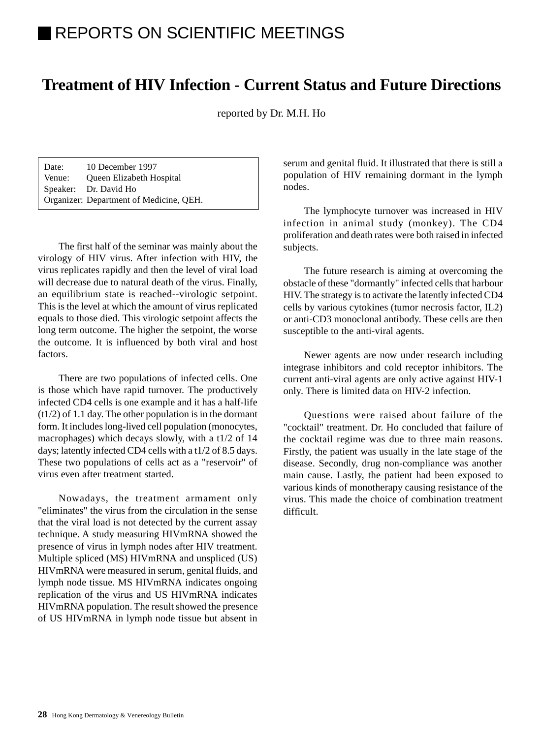# REPORTS ON SCIENTIFIC MEETINGS

## **Treatment of HIV Infection - Current Status and Future Directions**

reported by Dr. M.H. Ho

| Date:  | 10 December 1997                        |
|--------|-----------------------------------------|
| Venue: | Queen Elizabeth Hospital                |
|        | Speaker: Dr. David Ho                   |
|        | Organizer: Department of Medicine, QEH. |

The first half of the seminar was mainly about the virology of HIV virus. After infection with HIV, the virus replicates rapidly and then the level of viral load will decrease due to natural death of the virus. Finally, an equilibrium state is reached--virologic setpoint. This is the level at which the amount of virus replicated equals to those died. This virologic setpoint affects the long term outcome. The higher the setpoint, the worse the outcome. It is influenced by both viral and host factors.

There are two populations of infected cells. One is those which have rapid turnover. The productively infected CD4 cells is one example and it has a half-life (t1/2) of 1.1 day. The other population is in the dormant form. It includes long-lived cell population (monocytes, macrophages) which decays slowly, with a t1/2 of 14 days; latently infected CD4 cells with a t1/2 of 8.5 days. These two populations of cells act as a "reservoir" of virus even after treatment started.

Nowadays, the treatment armament only "eliminates" the virus from the circulation in the sense that the viral load is not detected by the current assay technique. A study measuring HIVmRNA showed the presence of virus in lymph nodes after HIV treatment. Multiple spliced (MS) HIVmRNA and unspliced (US) HIVmRNA were measured in serum, genital fluids, and lymph node tissue. MS HIVmRNA indicates ongoing replication of the virus and US HIVmRNA indicates HIVmRNA population. The result showed the presence of US HIVmRNA in lymph node tissue but absent in serum and genital fluid. It illustrated that there is still a population of HIV remaining dormant in the lymph nodes.

The lymphocyte turnover was increased in HIV infection in animal study (monkey). The CD4 proliferation and death rates were both raised in infected subjects.

The future research is aiming at overcoming the obstacle of these "dormantly" infected cells that harbour HIV. The strategy is to activate the latently infected CD4 cells by various cytokines (tumor necrosis factor, IL2) or anti-CD3 monoclonal antibody. These cells are then susceptible to the anti-viral agents.

Newer agents are now under research including integrase inhibitors and cold receptor inhibitors. The current anti-viral agents are only active against HIV-1 only. There is limited data on HIV-2 infection.

Questions were raised about failure of the "cocktail" treatment. Dr. Ho concluded that failure of the cocktail regime was due to three main reasons. Firstly, the patient was usually in the late stage of the disease. Secondly, drug non-compliance was another main cause. Lastly, the patient had been exposed to various kinds of monotherapy causing resistance of the virus. This made the choice of combination treatment difficult.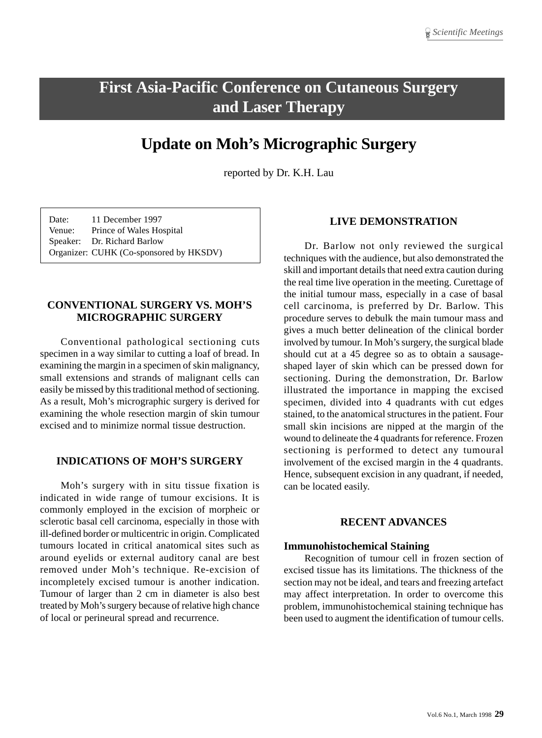# **First Asia-Pacific Conference on Cutaneous Surgery and Laser Therapy**

## **Update on Moh's Micrographic Surgery**

reported by Dr. K.H. Lau

Date: 11 December 1997 Venue: Prince of Wales Hospital Speaker: Dr. Richard Barlow Organizer: CUHK (Co-sponsored by HKSDV)

#### **CONVENTIONAL SURGERY VS. MOH'S MICROGRAPHIC SURGERY**

Conventional pathological sectioning cuts specimen in a way similar to cutting a loaf of bread. In examining the margin in a specimen of skin malignancy, small extensions and strands of malignant cells can easily be missed by this traditional method of sectioning. As a result, Moh's micrographic surgery is derived for examining the whole resection margin of skin tumour excised and to minimize normal tissue destruction.

#### **INDICATIONS OF MOH'S SURGERY**

Moh's surgery with in situ tissue fixation is indicated in wide range of tumour excisions. It is commonly employed in the excision of morpheic or sclerotic basal cell carcinoma, especially in those with ill-defined border or multicentric in origin. Complicated tumours located in critical anatomical sites such as around eyelids or external auditory canal are best removed under Moh's technique. Re-excision of incompletely excised tumour is another indication. Tumour of larger than 2 cm in diameter is also best treated by Moh's surgery because of relative high chance of local or perineural spread and recurrence.

#### **LIVE DEMONSTRATION**

Dr. Barlow not only reviewed the surgical techniques with the audience, but also demonstrated the skill and important details that need extra caution during the real time live operation in the meeting. Curettage of the initial tumour mass, especially in a case of basal cell carcinoma, is preferred by Dr. Barlow. This procedure serves to debulk the main tumour mass and gives a much better delineation of the clinical border involved by tumour. In Moh's surgery, the surgical blade should cut at a 45 degree so as to obtain a sausageshaped layer of skin which can be pressed down for sectioning. During the demonstration, Dr. Barlow illustrated the importance in mapping the excised specimen, divided into 4 quadrants with cut edges stained, to the anatomical structures in the patient. Four small skin incisions are nipped at the margin of the wound to delineate the 4 quadrants for reference. Frozen sectioning is performed to detect any tumoural involvement of the excised margin in the 4 quadrants. Hence, subsequent excision in any quadrant, if needed, can be located easily.

#### **RECENT ADVANCES**

#### **Immunohistochemical Staining**

Recognition of tumour cell in frozen section of excised tissue has its limitations. The thickness of the section may not be ideal, and tears and freezing artefact may affect interpretation. In order to overcome this problem, immunohistochemical staining technique has been used to augment the identification of tumour cells.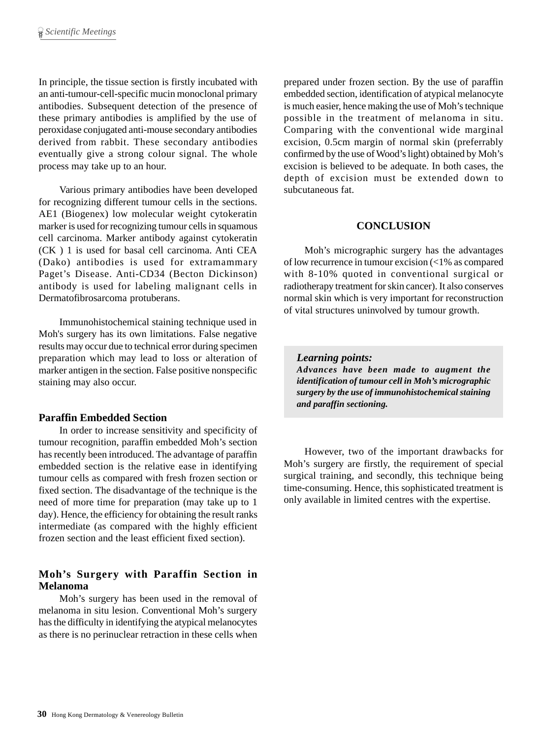In principle, the tissue section is firstly incubated with an anti-tumour-cell-specific mucin monoclonal primary antibodies. Subsequent detection of the presence of these primary antibodies is amplified by the use of peroxidase conjugated anti-mouse secondary antibodies derived from rabbit. These secondary antibodies eventually give a strong colour signal. The whole process may take up to an hour.

Various primary antibodies have been developed for recognizing different tumour cells in the sections. AE1 (Biogenex) low molecular weight cytokeratin marker is used for recognizing tumour cells in squamous cell carcinoma. Marker antibody against cytokeratin (CK ) 1 is used for basal cell carcinoma. Anti CEA (Dako) antibodies is used for extramammary Paget's Disease. Anti-CD34 (Becton Dickinson) antibody is used for labeling malignant cells in Dermatofibrosarcoma protuberans.

Immunohistochemical staining technique used in Moh's surgery has its own limitations. False negative results may occur due to technical error during specimen preparation which may lead to loss or alteration of marker antigen in the section. False positive nonspecific staining may also occur.

#### **Paraffin Embedded Section**

In order to increase sensitivity and specificity of tumour recognition, paraffin embedded Moh's section has recently been introduced. The advantage of paraffin embedded section is the relative ease in identifying tumour cells as compared with fresh frozen section or fixed section. The disadvantage of the technique is the need of more time for preparation (may take up to 1 day). Hence, the efficiency for obtaining the result ranks intermediate (as compared with the highly efficient frozen section and the least efficient fixed section).

### **Moh's Surgery with Paraffin Section in Melanoma**

Moh's surgery has been used in the removal of melanoma in situ lesion. Conventional Moh's surgery has the difficulty in identifying the atypical melanocytes as there is no perinuclear retraction in these cells when prepared under frozen section. By the use of paraffin embedded section, identification of atypical melanocyte is much easier, hence making the use of Moh's technique possible in the treatment of melanoma in situ. Comparing with the conventional wide marginal excision, 0.5cm margin of normal skin (preferrably confirmed by the use of Wood's light) obtained by Moh's excision is believed to be adequate. In both cases, the depth of excision must be extended down to subcutaneous fat.

### **CONCLUSION**

Moh's micrographic surgery has the advantages of low recurrence in tumour excision (<1% as compared with 8-10% quoted in conventional surgical or radiotherapy treatment for skin cancer). It also conserves normal skin which is very important for reconstruction of vital structures uninvolved by tumour growth.

*Learning points: Advances have been made to augment the identification of tumour cell in Moh's micrographic surgery by the use of immunohistochemical staining and paraffin sectioning.*

However, two of the important drawbacks for Moh's surgery are firstly, the requirement of special surgical training, and secondly, this technique being time-consuming. Hence, this sophisticated treatment is only available in limited centres with the expertise.